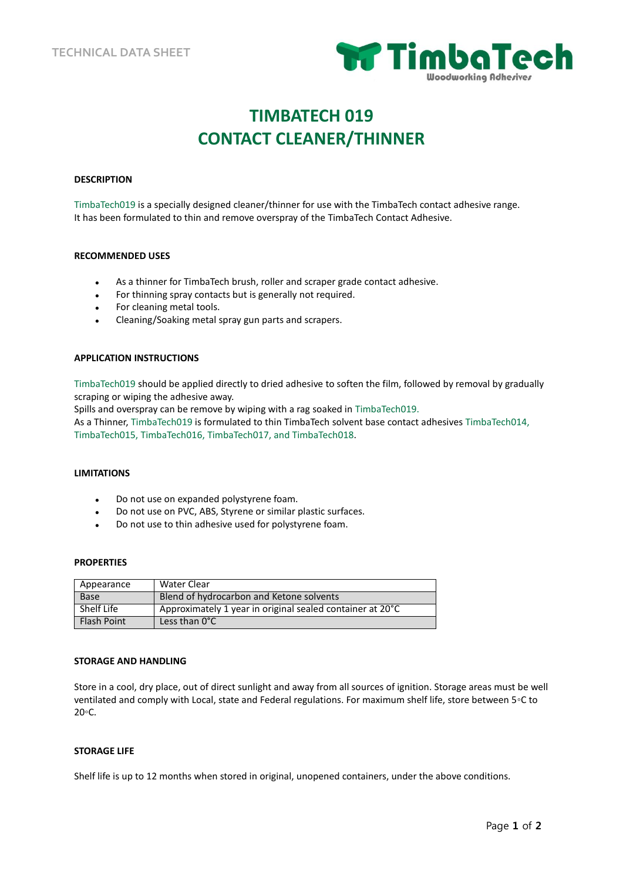

# **TIMBATECH 019 CONTACT CLEANER/THINNER**

# **DESCRIPTION**

TimbaTech019 is a specially designed cleaner/thinner for use with the TimbaTech contact adhesive range. It has been formulated to thin and remove overspray of the TimbaTech Contact Adhesive.

#### **RECOMMENDED USES**

- As a thinner for TimbaTech brush, roller and scraper grade contact adhesive.
- For thinning spray contacts but is generally not required.
- For cleaning metal tools.
- Cleaning/Soaking metal spray gun parts and scrapers.

# **APPLICATION INSTRUCTIONS**

TimbaTech019 should be applied directly to dried adhesive to soften the film, followed by removal by gradually scraping or wiping the adhesive away.

Spills and overspray can be remove by wiping with a rag soaked in TimbaTech019.

As a Thinner, TimbaTech019 is formulated to thin TimbaTech solvent base contact adhesives TimbaTech014, TimbaTech015, TimbaTech016, TimbaTech017, and TimbaTech018.

#### **LIMITATIONS**

- Do not use on expanded polystyrene foam.
- Do not use on PVC, ABS, Styrene or similar plastic surfaces.
- Do not use to thin adhesive used for polystyrene foam.

#### **PROPERTIES**

| Appearance         | Water Clear                                               |
|--------------------|-----------------------------------------------------------|
| <b>Base</b>        | Blend of hydrocarbon and Ketone solvents                  |
| Shelf Life         | Approximately 1 year in original sealed container at 20°C |
| <b>Flash Point</b> | Less than $0^{\circ}$ C                                   |

#### **STORAGE AND HANDLING**

Store in a cool, dry place, out of direct sunlight and away from all sources of ignition. Storage areas must be well ventilated and comply with Local, state and Federal regulations. For maximum shelf life, store between 5◦C to 20◦C.

# **STORAGE LIFE**

Shelf life is up to 12 months when stored in original, unopened containers, under the above conditions.